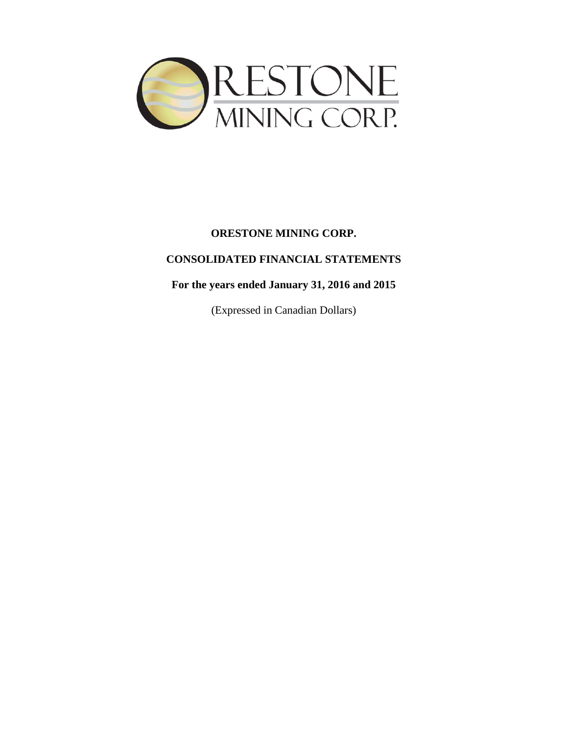

# **CONSOLIDATED FINANCIAL STATEMENTS**

# **For the years ended January 31, 2016 and 2015**

(Expressed in Canadian Dollars)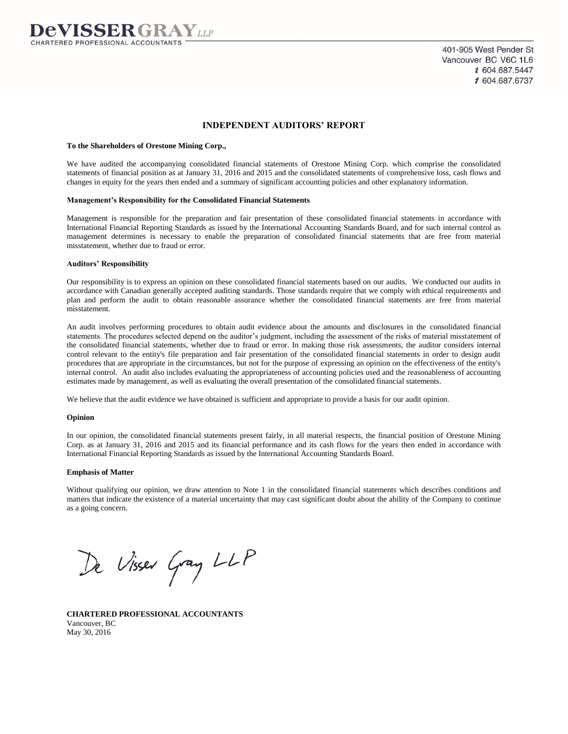# **INDEPENDENT AUDITORS' REPORT**

#### **To the Shareholders of Orestone Mining Corp.,**

We have audited the accompanying consolidated financial statements of Orestone Mining Corp. which comprise the consolidated statements of financial position as at January 31, 2016 and 2015 and the consolidated statements of comprehensive loss, cash flows and changes in equity for the years then ended and a summary of significant accounting policies and other explanatory information.

#### **Management's Responsibility for the Consolidated Financial Statements**

Management is responsible for the preparation and fair presentation of these consolidated financial statements in accordance with International Financial Reporting Standards as issued by the International Accounting Standards Board, and for such internal control as management determines is necessary to enable the preparation of consolidated financial statements that are free from material misstatement, whether due to fraud or error.

#### **Auditors' Responsibility**

Our responsibility is to express an opinion on these consolidated financial statements based on our audits. We conducted our audits in accordance with Canadian generally accepted auditing standards. Those standards require that we comply with ethical requirements and plan and perform the audit to obtain reasonable assurance whether the consolidated financial statements are free from material misstatement.

An audit involves performing procedures to obtain audit evidence about the amounts and disclosures in the consolidated financial statements. The procedures selected depend on the auditor's judgment, including the assessment of the risks of material misstatement of the consolidated financial statements, whether due to fraud or error. In making those risk assessments, the auditor considers internal control relevant to the entity's file preparation and fair presentation of the consolidated financial statements in order to design audit procedures that are appropriate in the circumstances, but not for the purpose of expressing an opinion on the effectiveness of the entity's internal control. An audit also includes evaluating the appropriateness of accounting policies used and the reasonableness of accounting estimates made by management, as well as evaluating the overall presentation of the consolidated financial statements.

We believe that the audit evidence we have obtained is sufficient and appropriate to provide a basis for our audit opinion.

#### **Opinion**

In our opinion, the consolidated financial statements present fairly, in all material respects, the financial position of Orestone Mining Corp. as at January 31, 2016 and 2015 and its financial performance and its cash flows for the years then ended in accordance with International Financial Reporting Standards as issued by the International Accounting Standards Board.

#### **Emphasis of Matter**

Without qualifying our opinion, we draw attention to Note 1 in the consolidated financial statements which describes conditions and matters that indicate the existence of a material uncertainty that may cast significant doubt about the ability of the Company to continue as a going concern.

De Visser Gray LLP

**CHARTERED PROFESSIONAL ACCOUNTANTS** Vancouver, BC May 30, 2016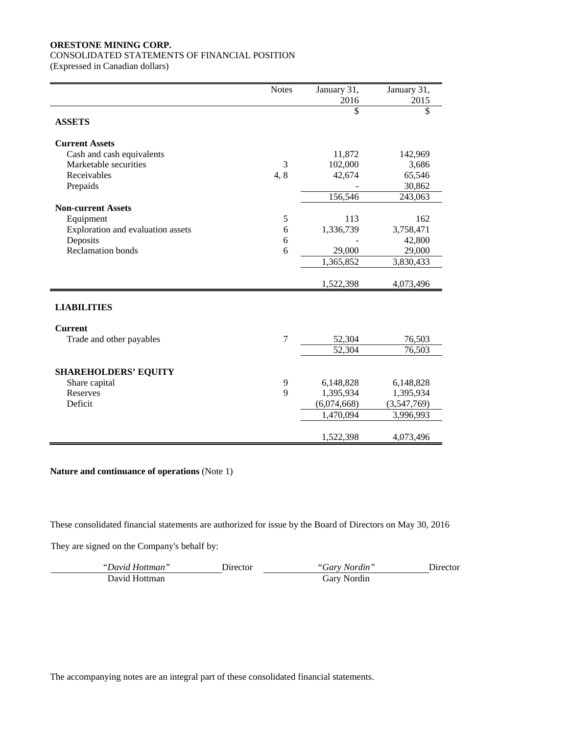# CONSOLIDATED STATEMENTS OF FINANCIAL POSITION

(Expressed in Canadian dollars)

|                                   | <b>Notes</b> | January 31, | January 31, |
|-----------------------------------|--------------|-------------|-------------|
|                                   |              | 2016        | 2015        |
| <b>ASSETS</b>                     |              | \$          | \$          |
| <b>Current Assets</b>             |              |             |             |
| Cash and cash equivalents         |              | 11,872      | 142,969     |
| Marketable securities             | 3            | 102,000     | 3,686       |
| Receivables                       | 4,8          | 42,674      | 65,546      |
| Prepaids                          |              |             | 30,862      |
|                                   |              | 156,546     | 243,063     |
| <b>Non-current Assets</b>         |              |             |             |
| Equipment                         | 5            | 113         | 162         |
| Exploration and evaluation assets | 6            | 1,336,739   | 3,758,471   |
| Deposits                          | 6            |             | 42,800      |
| <b>Reclamation bonds</b>          | 6            | 29,000      | 29,000      |
|                                   |              | 1,365,852   | 3,830,433   |
|                                   |              |             |             |
|                                   |              | 1,522,398   | 4,073,496   |
| <b>LIABILITIES</b>                |              |             |             |
|                                   |              |             |             |
| <b>Current</b>                    |              |             |             |
| Trade and other payables          | 7            | 52,304      | 76,503      |
|                                   |              | 52,304      | 76,503      |
|                                   |              |             |             |
| <b>SHAREHOLDERS' EQUITY</b>       |              |             |             |
| Share capital                     | 9            | 6,148,828   | 6,148,828   |
| Reserves                          | 9            | 1,395,934   | 1,395,934   |
| Deficit                           |              | (6,074,668) | (3,547,769) |
|                                   |              | 1,470,094   | 3,996,993   |
|                                   |              | 1,522,398   | 4,073,496   |

**Nature and continuance of operations** (Note 1)

These consolidated financial statements are authorized for issue by the Board of Directors on May 30, 2016

They are signed on the Company's behalf by:

| "David Hottman" | Jirector. | "Garv Nordin" | Director |
|-----------------|-----------|---------------|----------|
| David Hottman   |           | Gary Nordin   |          |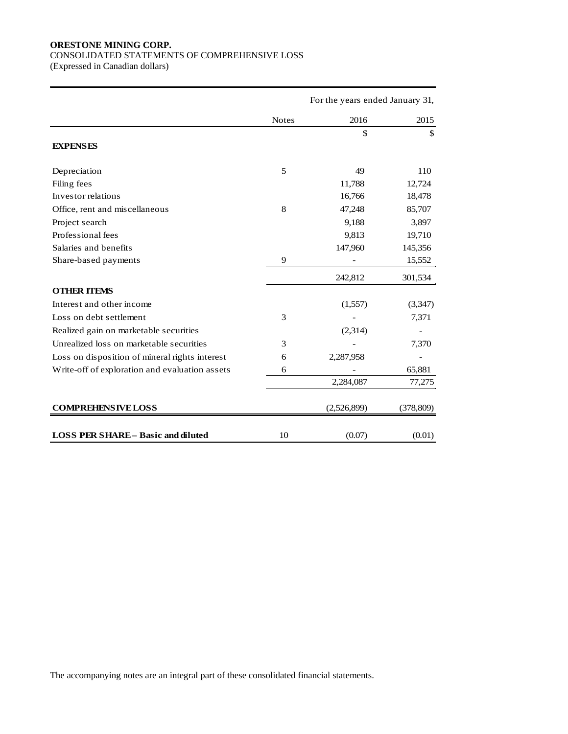# CONSOLIDATED STATEMENTS OF COMPREHENSIVE LOSS

(Expressed in Canadian dollars)

|                                                |              | For the years ended January 31, |            |  |  |
|------------------------------------------------|--------------|---------------------------------|------------|--|--|
|                                                | <b>Notes</b> | 2016                            | 2015       |  |  |
| <b>EXPENSES</b>                                |              | \$                              | \$         |  |  |
| Depreciation                                   | 5            | 49                              | 110        |  |  |
| Filing fees                                    |              | 11,788                          | 12,724     |  |  |
| Investor relations                             |              | 16,766                          | 18,478     |  |  |
| Office, rent and miscellaneous                 | 8            | 47,248                          | 85,707     |  |  |
| Project search                                 |              | 9,188                           | 3,897      |  |  |
| Professional fees                              |              | 9,813                           | 19,710     |  |  |
| Salaries and benefits                          |              | 147,960                         | 145,356    |  |  |
| Share-based payments                           | 9            |                                 | 15,552     |  |  |
|                                                |              | 242,812                         | 301,534    |  |  |
| <b>OTHER ITEMS</b>                             |              |                                 |            |  |  |
| Interest and other income                      |              | (1,557)                         | (3,347)    |  |  |
| Loss on debt settlement                        | 3            |                                 | 7,371      |  |  |
| Realized gain on marketable securities         |              | (2,314)                         |            |  |  |
| Unrealized loss on marketable securities       | 3            |                                 | 7,370      |  |  |
| Loss on disposition of mineral rights interest | 6            | 2,287,958                       |            |  |  |
| Write-off of exploration and evaluation assets | 6            |                                 | 65,881     |  |  |
|                                                |              | 2,284,087                       | 77,275     |  |  |
| <b>COMPREHENSIVE LOSS</b>                      |              | (2,526,899)                     | (378, 809) |  |  |
| <b>LOSS PER SHARE – Basic and diluted</b>      | 10           | (0.07)                          | (0.01)     |  |  |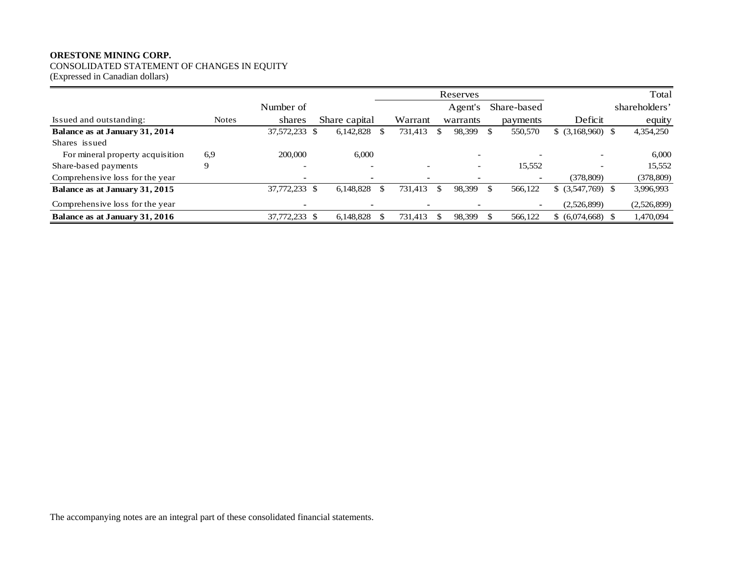# CONSOLIDATED STATEMENT OF CHANGES IN EQUITY

(Expressed in Canadian dollars)

|                                  |              |                 |                          |    |         |     | Reserves |      |             |                          |      | Total         |
|----------------------------------|--------------|-----------------|--------------------------|----|---------|-----|----------|------|-------------|--------------------------|------|---------------|
|                                  |              | Number of       |                          |    |         |     | Agent's  |      | Share-based |                          |      | shareholders' |
| Issued and outstanding:          | <b>Notes</b> | shares          | Share capital            |    | Warrant |     | warrants |      | payments    | Deficit                  |      | equity        |
| Balance as at January 31, 2014   |              | 37,572,233 \$   | 6,142,828                | -S | 731.413 |     | 98,399   | -S   | 550,570     | $$$ (3,168,960)          | -S   | 4,354,250     |
| Shares issued                    |              |                 |                          |    |         |     |          |      |             |                          |      |               |
| For mineral property acquisition | 6,9          | 200,000         | 6,000                    |    |         |     |          |      |             | $\overline{\phantom{0}}$ |      | 6,000         |
| Share-based payments             | 9            | $\qquad \qquad$ | $\overline{\phantom{0}}$ |    |         |     |          |      | 15,552      |                          |      | 15,552        |
| Comprehensive loss for the year  |              |                 | $\blacksquare$           |    |         |     |          |      |             | (378, 809)               |      | (378, 809)    |
| Balance as at January 31, 2015   |              | 37,772,233 \$   | 6.148.828                |    | 731.413 | -\$ | 98.399   | - \$ | 566,122     | $$$ $(3,547,769)$        | - \$ | 3,996,993     |
| Comprehensive loss for the year  |              | $\blacksquare$  | $\blacksquare$           |    |         |     |          |      | $\sim$      | (2,526,899)              |      | (2,526,899)   |
| Balance as at January 31, 2016   |              | 37,772,233 \$   | 6,148,828                |    | 731.413 |     | 98.399   |      | 566,122     | \$ (6,074,668)           |      | 1,470,094     |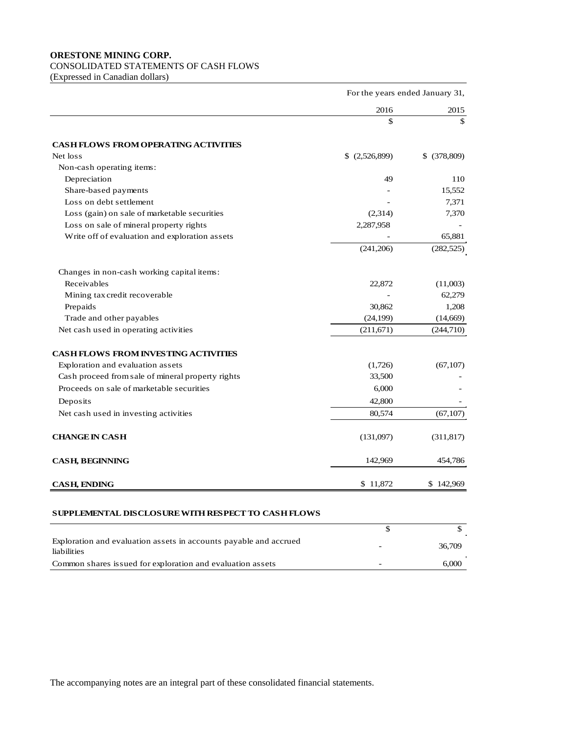# CONSOLIDATED STATEMENTS OF CASH FLOWS

(Expressed in Canadian dollars)

|                                                    | For the years ended January 31, |               |  |
|----------------------------------------------------|---------------------------------|---------------|--|
|                                                    | 2016                            | 2015          |  |
|                                                    | \$                              | \$            |  |
| <b>CASH FLOWS FROM OPERATING ACTIVITIES</b>        |                                 |               |  |
| Net loss                                           | (2,526,899)                     | $$$ (378,809) |  |
| Non-cash operating items:                          |                                 |               |  |
| Depreciation                                       | 49                              | 110           |  |
| Share-based payments                               |                                 | 15,552        |  |
| Loss on debt settlement                            |                                 | 7,371         |  |
| Loss (gain) on sale of marketable securities       | (2,314)                         | 7,370         |  |
| Loss on sale of mineral property rights            | 2,287,958                       |               |  |
| Write off of evaluation and exploration assets     |                                 | 65,881        |  |
|                                                    | (241, 206)                      | (282, 525)    |  |
| Changes in non-cash working capital items:         |                                 |               |  |
| Receivables                                        | 22,872                          | (11,003)      |  |
| Mining tax credit recoverable                      |                                 | 62,279        |  |
| Prepaids                                           | 30,862                          | 1,208         |  |
| Trade and other payables                           | (24, 199)                       | (14, 669)     |  |
| Net cash used in operating activities              | (211, 671)                      | (244,710)     |  |
| <b>CASH FLOWS FROM INVESTING ACTIVITIES</b>        |                                 |               |  |
| Exploration and evaluation assets                  | (1,726)                         | (67, 107)     |  |
| Cash proceed from sale of mineral property rights  | 33,500                          |               |  |
| Proceeds on sale of marketable securities          | 6,000                           |               |  |
| Deposits                                           | 42,800                          |               |  |
| Net cash used in investing activities              | 80,574                          | (67, 107)     |  |
| <b>CHANGE IN CASH</b>                              | (131,097)                       | (311, 817)    |  |
| <b>CASH, BEGINNING</b>                             | 142,969                         | 454,786       |  |
| <b>CASH, ENDING</b>                                | \$11,872                        | \$142,969     |  |
| SUPPLEMENTAL DISCLOSURE WITH RESPECT TO CASH FLOWS |                                 |               |  |
|                                                    | \$                              | \$            |  |

Exploration and evaluation assets in accounts payable and accrued liabilities 36,709 - Common shares issued for exploration and evaluation assets 6,000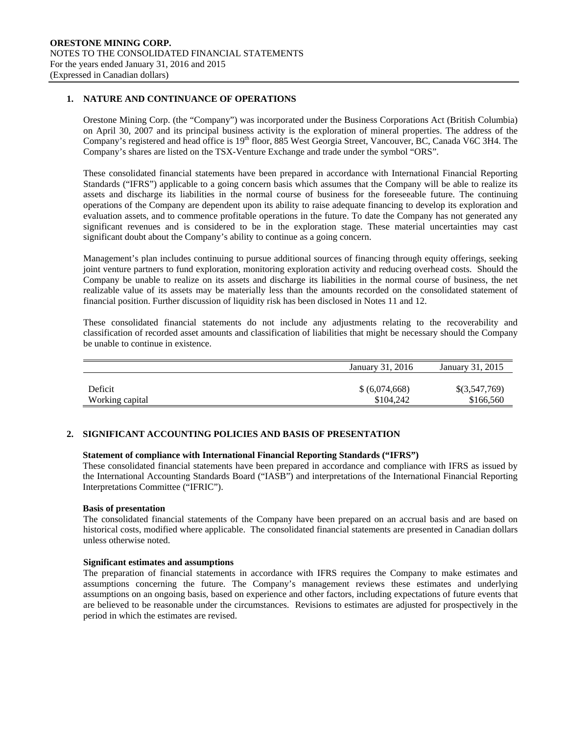# **1. NATURE AND CONTINUANCE OF OPERATIONS**

 Orestone Mining Corp. (the "Company") was incorporated under the Business Corporations Act (British Columbia) on April 30, 2007 and its principal business activity is the exploration of mineral properties. The address of the Company's registered and head office is 19<sup>th</sup> floor, 885 West Georgia Street, Vancouver, BC, Canada V6C 3H4. The Company's shares are listed on the TSX-Venture Exchange and trade under the symbol "ORS".

 These consolidated financial statements have been prepared in accordance with International Financial Reporting Standards ("IFRS") applicable to a going concern basis which assumes that the Company will be able to realize its assets and discharge its liabilities in the normal course of business for the foreseeable future. The continuing operations of the Company are dependent upon its ability to raise adequate financing to develop its exploration and evaluation assets, and to commence profitable operations in the future. To date the Company has not generated any significant revenues and is considered to be in the exploration stage. These material uncertainties may cast significant doubt about the Company's ability to continue as a going concern.

 Management's plan includes continuing to pursue additional sources of financing through equity offerings, seeking joint venture partners to fund exploration, monitoring exploration activity and reducing overhead costs. Should the Company be unable to realize on its assets and discharge its liabilities in the normal course of business, the net realizable value of its assets may be materially less than the amounts recorded on the consolidated statement of financial position. Further discussion of liquidity risk has been disclosed in Notes 11 and 12.

 These consolidated financial statements do not include any adjustments relating to the recoverability and classification of recorded asset amounts and classification of liabilities that might be necessary should the Company be unable to continue in existence.

|                 | January 31, 2016 | January 31, 2015 |
|-----------------|------------------|------------------|
|                 |                  |                  |
| Deficit         | \$(6,074,668)    | \$(3,547,769)    |
| Working capital | \$104.242        | \$166,560        |

# **2. SIGNIFICANT ACCOUNTING POLICIES AND BASIS OF PRESENTATION**

#### **Statement of compliance with International Financial Reporting Standards ("IFRS")**

These consolidated financial statements have been prepared in accordance and compliance with IFRS as issued by the International Accounting Standards Board ("IASB") and interpretations of the International Financial Reporting Interpretations Committee ("IFRIC").

**Basis of presentation**<br>The consolidated financial statements of the Company have been prepared on an accrual basis and are based on historical costs, modified where applicable. The consolidated financial statements are presented in Canadian dollars unless otherwise noted.

#### **Significant estimates and assumptions**

The preparation of financial statements in accordance with IFRS requires the Company to make estimates and assumptions concerning the future. The Company's management reviews these estimates and underlying assumptions on an ongoing basis, based on experience and other factors, including expectations of future events that are believed to be reasonable under the circumstances. Revisions to estimates are adjusted for prospectively in the period in which the estimates are revised.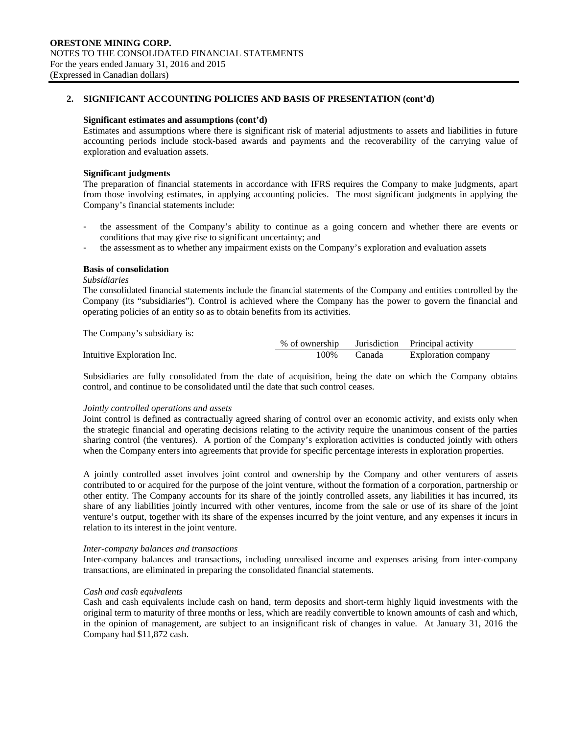#### **Significant estimates and assumptions (cont'd)**

Estimates and assumptions where there is significant risk of material adjustments to assets and liabilities in future accounting periods include stock-based awards and payments and the recoverability of the carrying value of exploration and evaluation assets.

## **Significant judgments**

The preparation of financial statements in accordance with IFRS requires the Company to make judgments, apart from those involving estimates, in applying accounting policies. The most significant judgments in applying the Company's financial statements include:

- the assessment of the Company's ability to continue as a going concern and whether there are events or conditions that may give rise to significant uncertainty; and
- the assessment as to whether any impairment exists on the Company's exploration and evaluation assets

# **Basis of consolidation**

#### *Subsidiaries*

The consolidated financial statements include the financial statements of the Company and entities controlled by the Company (its "subsidiaries"). Control is achieved where the Company has the power to govern the financial and operating policies of an entity so as to obtain benefits from its activities.

The Company's subsidiary is:

|                            | % of ownership |        | Jurisdiction Principal activity |
|----------------------------|----------------|--------|---------------------------------|
| Intuitive Exploration Inc. | 100%           | Canada | <b>Exploration company</b>      |

 Subsidiaries are fully consolidated from the date of acquisition, being the date on which the Company obtains control, and continue to be consolidated until the date that such control ceases.

# *Jointly controlled operations and assets*

Joint control is defined as contractually agreed sharing of control over an economic activity, and exists only when the strategic financial and operating decisions relating to the activity require the unanimous consent of the parties sharing control (the ventures). A portion of the Company's exploration activities is conducted jointly with others when the Company enters into agreements that provide for specific percentage interests in exploration properties.

A jointly controlled asset involves joint control and ownership by the Company and other venturers of assets contributed to or acquired for the purpose of the joint venture, without the formation of a corporation, partnership or other entity. The Company accounts for its share of the jointly controlled assets, any liabilities it has incurred, its share of any liabilities jointly incurred with other ventures, income from the sale or use of its share of the joint venture's output, together with its share of the expenses incurred by the joint venture, and any expenses it incurs in relation to its interest in the joint venture.

# *Inter-company balances and transactions*

Inter-company balances and transactions, including unrealised income and expenses arising from inter-company transactions, are eliminated in preparing the consolidated financial statements.

# *Cash and cash equivalents*

Cash and cash equivalents include cash on hand, term deposits and short-term highly liquid investments with the original term to maturity of three months or less, which are readily convertible to known amounts of cash and which, in the opinion of management, are subject to an insignificant risk of changes in value. At January 31, 2016 the Company had \$11,872 cash.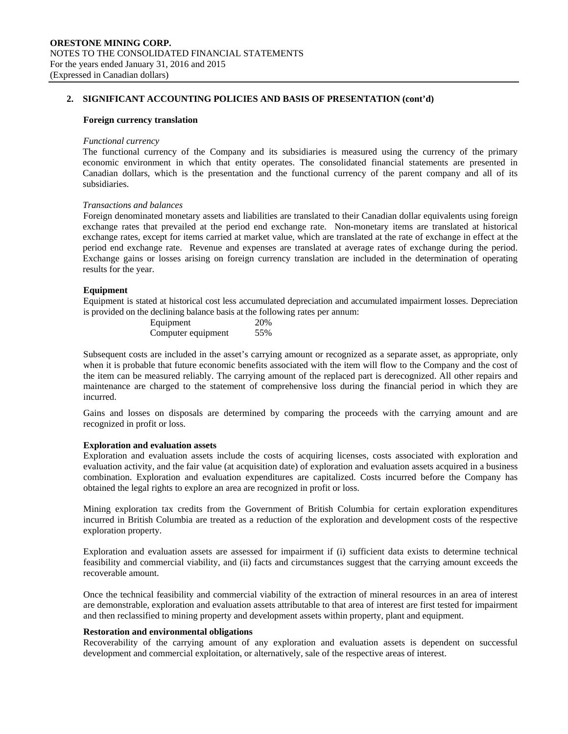## **Foreign currency translation**

#### *Functional currency*

The functional currency of the Company and its subsidiaries is measured using the currency of the primary economic environment in which that entity operates. The consolidated financial statements are presented in Canadian dollars, which is the presentation and the functional currency of the parent company and all of its subsidiaries.

### *Transactions and balances*

 Foreign denominated monetary assets and liabilities are translated to their Canadian dollar equivalents using foreign exchange rates that prevailed at the period end exchange rate. Non-monetary items are translated at historical exchange rates, except for items carried at market value, which are translated at the rate of exchange in effect at the period end exchange rate. Revenue and expenses are translated at average rates of exchange during the period. Exchange gains or losses arising on foreign currency translation are included in the determination of operating results for the year.

# **Equipment**

Equipment is stated at historical cost less accumulated depreciation and accumulated impairment losses. Depreciation is provided on the declining balance basis at the following rates per annum:

| Equipment          | 20% |
|--------------------|-----|
| Computer equipment | 55% |

Subsequent costs are included in the asset's carrying amount or recognized as a separate asset, as appropriate, only when it is probable that future economic benefits associated with the item will flow to the Company and the cost of the item can be measured reliably. The carrying amount of the replaced part is derecognized. All other repairs and maintenance are charged to the statement of comprehensive loss during the financial period in which they are incurred.

Gains and losses on disposals are determined by comparing the proceeds with the carrying amount and are recognized in profit or loss.

#### **Exploration and evaluation assets**

Exploration and evaluation assets include the costs of acquiring licenses, costs associated with exploration and evaluation activity, and the fair value (at acquisition date) of exploration and evaluation assets acquired in a business combination. Exploration and evaluation expenditures are capitalized. Costs incurred before the Company has obtained the legal rights to explore an area are recognized in profit or loss.

Mining exploration tax credits from the Government of British Columbia for certain exploration expenditures incurred in British Columbia are treated as a reduction of the exploration and development costs of the respective exploration property.

Exploration and evaluation assets are assessed for impairment if (i) sufficient data exists to determine technical feasibility and commercial viability, and (ii) facts and circumstances suggest that the carrying amount exceeds the recoverable amount.

Once the technical feasibility and commercial viability of the extraction of mineral resources in an area of interest are demonstrable, exploration and evaluation assets attributable to that area of interest are first tested for impairment and then reclassified to mining property and development assets within property, plant and equipment.

# **Restoration and environmental obligations**

Recoverability of the carrying amount of any exploration and evaluation assets is dependent on successful development and commercial exploitation, or alternatively, sale of the respective areas of interest.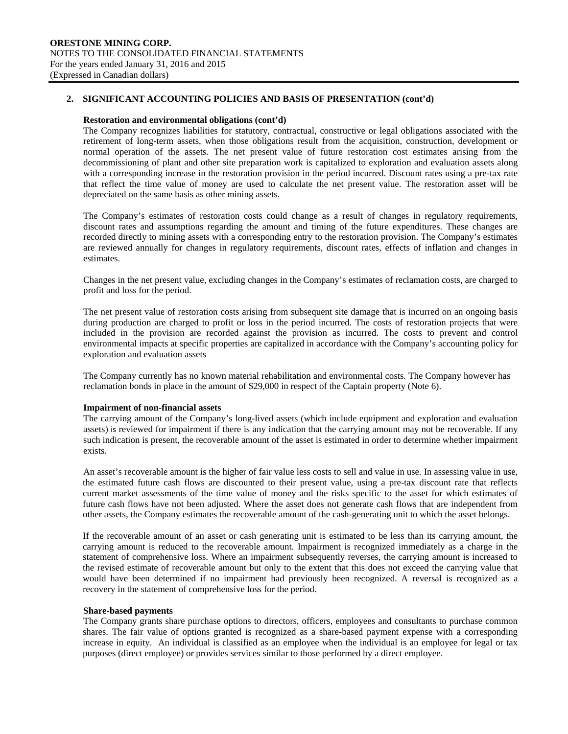### **Restoration and environmental obligations (cont'd)**

The Company recognizes liabilities for statutory, contractual, constructive or legal obligations associated with the retirement of long-term assets, when those obligations result from the acquisition, construction, development or normal operation of the assets. The net present value of future restoration cost estimates arising from the decommissioning of plant and other site preparation work is capitalized to exploration and evaluation assets along with a corresponding increase in the restoration provision in the period incurred. Discount rates using a pre-tax rate that reflect the time value of money are used to calculate the net present value. The restoration asset will be depreciated on the same basis as other mining assets.

The Company's estimates of restoration costs could change as a result of changes in regulatory requirements, discount rates and assumptions regarding the amount and timing of the future expenditures. These changes are recorded directly to mining assets with a corresponding entry to the restoration provision. The Company's estimates are reviewed annually for changes in regulatory requirements, discount rates, effects of inflation and changes in estimates.

Changes in the net present value, excluding changes in the Company's estimates of reclamation costs, are charged to profit and loss for the period.

The net present value of restoration costs arising from subsequent site damage that is incurred on an ongoing basis during production are charged to profit or loss in the period incurred. The costs of restoration projects that were included in the provision are recorded against the provision as incurred. The costs to prevent and control environmental impacts at specific properties are capitalized in accordance with the Company's accounting policy for exploration and evaluation assets

The Company currently has no known material rehabilitation and environmental costs. The Company however has reclamation bonds in place in the amount of \$29,000 in respect of the Captain property (Note 6).

# **Impairment of non-financial assets**

The carrying amount of the Company's long-lived assets (which include equipment and exploration and evaluation assets) is reviewed for impairment if there is any indication that the carrying amount may not be recoverable. If any such indication is present, the recoverable amount of the asset is estimated in order to determine whether impairment exists.

 An asset's recoverable amount is the higher of fair value less costs to sell and value in use. In assessing value in use, the estimated future cash flows are discounted to their present value, using a pre-tax discount rate that reflects current market assessments of the time value of money and the risks specific to the asset for which estimates of future cash flows have not been adjusted. Where the asset does not generate cash flows that are independent from other assets, the Company estimates the recoverable amount of the cash-generating unit to which the asset belongs.

If the recoverable amount of an asset or cash generating unit is estimated to be less than its carrying amount, the carrying amount is reduced to the recoverable amount. Impairment is recognized immediately as a charge in the statement of comprehensive loss. Where an impairment subsequently reverses, the carrying amount is increased to the revised estimate of recoverable amount but only to the extent that this does not exceed the carrying value that would have been determined if no impairment had previously been recognized. A reversal is recognized as a recovery in the statement of comprehensive loss for the period.

### **Share-based payments**

 The Company grants share purchase options to directors, officers, employees and consultants to purchase common shares. The fair value of options granted is recognized as a share-based payment expense with a corresponding increase in equity. An individual is classified as an employee when the individual is an employee for legal or tax purposes (direct employee) or provides services similar to those performed by a direct employee.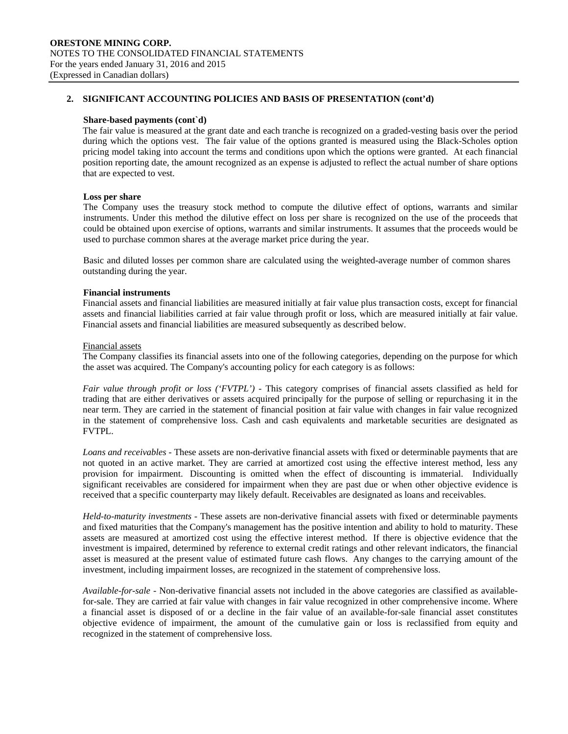## **Share-based payments (cont`d)**

The fair value is measured at the grant date and each tranche is recognized on a graded-vesting basis over the period during which the options vest. The fair value of the options granted is measured using the Black-Scholes option pricing model taking into account the terms and conditions upon which the options were granted. At each financial position reporting date, the amount recognized as an expense is adjusted to reflect the actual number of share options that are expected to vest.

# **Loss per share**

 The Company uses the treasury stock method to compute the dilutive effect of options, warrants and similar instruments. Under this method the dilutive effect on loss per share is recognized on the use of the proceeds that could be obtained upon exercise of options, warrants and similar instruments. It assumes that the proceeds would be used to purchase common shares at the average market price during the year.

 Basic and diluted losses per common share are calculated using the weighted-average number of common shares outstanding during the year.

**Financial instruments**<br>Financial assets and financial liabilities are measured initially at fair value plus transaction costs, except for financial assets and financial liabilities carried at fair value through profit or loss, which are measured initially at fair value. Financial assets and financial liabilities are measured subsequently as described below.

### Financial assets

The Company classifies its financial assets into one of the following categories, depending on the purpose for which the asset was acquired. The Company's accounting policy for each category is as follows:

*Fair value through profit or loss ('FVTPL')* - This category comprises of financial assets classified as held for trading that are either derivatives or assets acquired principally for the purpose of selling or repurchasing it in the near term. They are carried in the statement of financial position at fair value with changes in fair value recognized in the statement of comprehensive loss. Cash and cash equivalents and marketable securities are designated as FVTPL.

*Loans and receivables* - These assets are non-derivative financial assets with fixed or determinable payments that are not quoted in an active market. They are carried at amortized cost using the effective interest method, less any provision for impairment. Discounting is omitted when the effect of discounting is immaterial. Individually significant receivables are considered for impairment when they are past due or when other objective evidence is received that a specific counterparty may likely default. Receivables are designated as loans and receivables.

*Held-to-maturity investments* - These assets are non-derivative financial assets with fixed or determinable payments and fixed maturities that the Company's management has the positive intention and ability to hold to maturity. These assets are measured at amortized cost using the effective interest method. If there is objective evidence that the investment is impaired, determined by reference to external credit ratings and other relevant indicators, the financial asset is measured at the present value of estimated future cash flows. Any changes to the carrying amount of the investment, including impairment losses, are recognized in the statement of comprehensive loss.

*Available-for-sale* - Non-derivative financial assets not included in the above categories are classified as availablefor-sale. They are carried at fair value with changes in fair value recognized in other comprehensive income. Where a financial asset is disposed of or a decline in the fair value of an available-for-sale financial asset constitutes objective evidence of impairment, the amount of the cumulative gain or loss is reclassified from equity and recognized in the statement of comprehensive loss.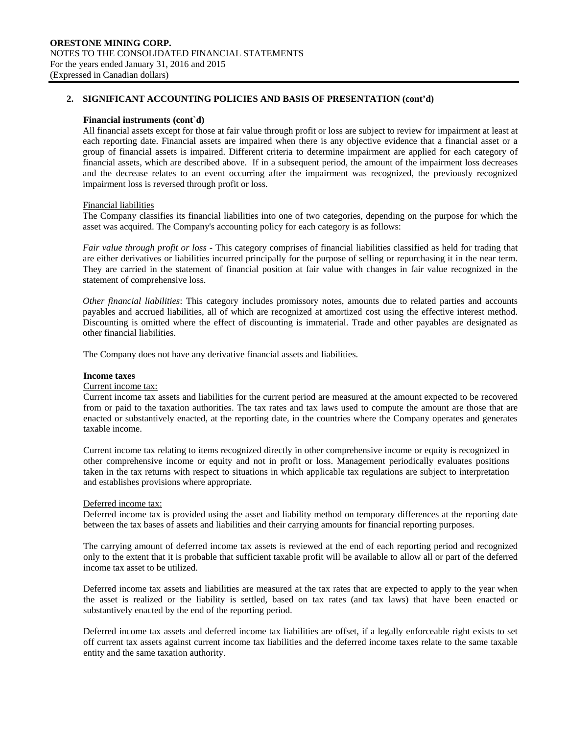## **Financial instruments (cont`d)**

All financial assets except for those at fair value through profit or loss are subject to review for impairment at least at each reporting date. Financial assets are impaired when there is any objective evidence that a financial asset or a group of financial assets is impaired. Different criteria to determine impairment are applied for each category of financial assets, which are described above. If in a subsequent period, the amount of the impairment loss decreases and the decrease relates to an event occurring after the impairment was recognized, the previously recognized impairment loss is reversed through profit or loss.

### Financial liabilities

The Company classifies its financial liabilities into one of two categories, depending on the purpose for which the asset was acquired. The Company's accounting policy for each category is as follows:

*Fair value through profit or loss* - This category comprises of financial liabilities classified as held for trading that are either derivatives or liabilities incurred principally for the purpose of selling or repurchasing it in the near term. They are carried in the statement of financial position at fair value with changes in fair value recognized in the statement of comprehensive loss.

*Other financial liabilities*: This category includes promissory notes, amounts due to related parties and accounts payables and accrued liabilities, all of which are recognized at amortized cost using the effective interest method. Discounting is omitted where the effect of discounting is immaterial. Trade and other payables are designated as other financial liabilities.

The Company does not have any derivative financial assets and liabilities.

#### **Income taxes**

# Current income tax:

Current income tax assets and liabilities for the current period are measured at the amount expected to be recovered from or paid to the taxation authorities. The tax rates and tax laws used to compute the amount are those that are enacted or substantively enacted, at the reporting date, in the countries where the Company operates and generates taxable income.

Current income tax relating to items recognized directly in other comprehensive income or equity is recognized in other comprehensive income or equity and not in profit or loss. Management periodically evaluates positions taken in the tax returns with respect to situations in which applicable tax regulations are subject to interpretation and establishes provisions where appropriate.

#### Deferred income tax:

Deferred income tax is provided using the asset and liability method on temporary differences at the reporting date between the tax bases of assets and liabilities and their carrying amounts for financial reporting purposes.

The carrying amount of deferred income tax assets is reviewed at the end of each reporting period and recognized only to the extent that it is probable that sufficient taxable profit will be available to allow all or part of the deferred income tax asset to be utilized.

Deferred income tax assets and liabilities are measured at the tax rates that are expected to apply to the year when the asset is realized or the liability is settled, based on tax rates (and tax laws) that have been enacted or substantively enacted by the end of the reporting period.

Deferred income tax assets and deferred income tax liabilities are offset, if a legally enforceable right exists to set off current tax assets against current income tax liabilities and the deferred income taxes relate to the same taxable entity and the same taxation authority.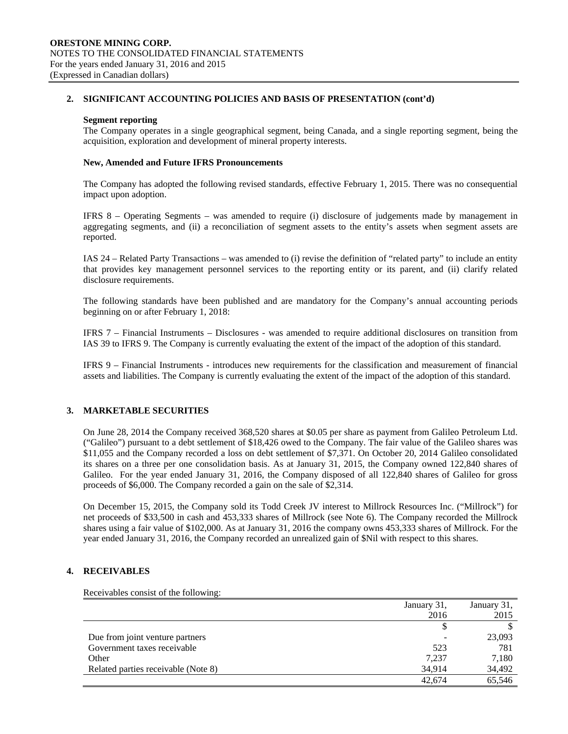### **Segment reporting**

The Company operates in a single geographical segment, being Canada, and a single reporting segment, being the acquisition, exploration and development of mineral property interests.

# **New, Amended and Future IFRS Pronouncements**

The Company has adopted the following revised standards, effective February 1, 2015. There was no consequential impact upon adoption.

IFRS 8 – Operating Segments – was amended to require (i) disclosure of judgements made by management in aggregating segments, and (ii) a reconciliation of segment assets to the entity's assets when segment assets are reported.

IAS 24 – Related Party Transactions – was amended to (i) revise the definition of "related party" to include an entity that provides key management personnel services to the reporting entity or its parent, and (ii) clarify related disclosure requirements.

The following standards have been published and are mandatory for the Company's annual accounting periods beginning on or after February 1, 2018:

IFRS 7 – Financial Instruments – Disclosures - was amended to require additional disclosures on transition from IAS 39 to IFRS 9. The Company is currently evaluating the extent of the impact of the adoption of this standard.

IFRS 9 – Financial Instruments - introduces new requirements for the classification and measurement of financial assets and liabilities. The Company is currently evaluating the extent of the impact of the adoption of this standard.

# **3. MARKETABLE SECURITIES**

On June 28, 2014 the Company received 368,520 shares at \$0.05 per share as payment from Galileo Petroleum Ltd. ("Galileo") pursuant to a debt settlement of \$18,426 owed to the Company. The fair value of the Galileo shares was \$11,055 and the Company recorded a loss on debt settlement of \$7,371. On October 20, 2014 Galileo consolidated its shares on a three per one consolidation basis. As at January 31, 2015, the Company owned 122,840 shares of Galileo. For the year ended January 31, 2016, the Company disposed of all 122,840 shares of Galileo for gross proceeds of \$6,000. The Company recorded a gain on the sale of \$2,314.

On December 15, 2015, the Company sold its Todd Creek JV interest to Millrock Resources Inc. ("Millrock") for net proceeds of \$33,500 in cash and 453,333 shares of Millrock (see Note 6). The Company recorded the Millrock shares using a fair value of \$102,000. As at January 31, 2016 the company owns 453,333 shares of Millrock. For the year ended January 31, 2016, the Company recorded an unrealized gain of \$Nil with respect to this shares.

# **4. RECEIVABLES**

Receivables consist of the following:

|                                     | January 31, | January 31, |
|-------------------------------------|-------------|-------------|
|                                     | 2016        | 2015        |
|                                     | Ъ           |             |
| Due from joint venture partners     |             | 23,093      |
| Government taxes receivable         | 523         | 781         |
| Other                               | 7.237       | 7,180       |
| Related parties receivable (Note 8) | 34.914      | 34,492      |
|                                     | 42,674      | 65,546      |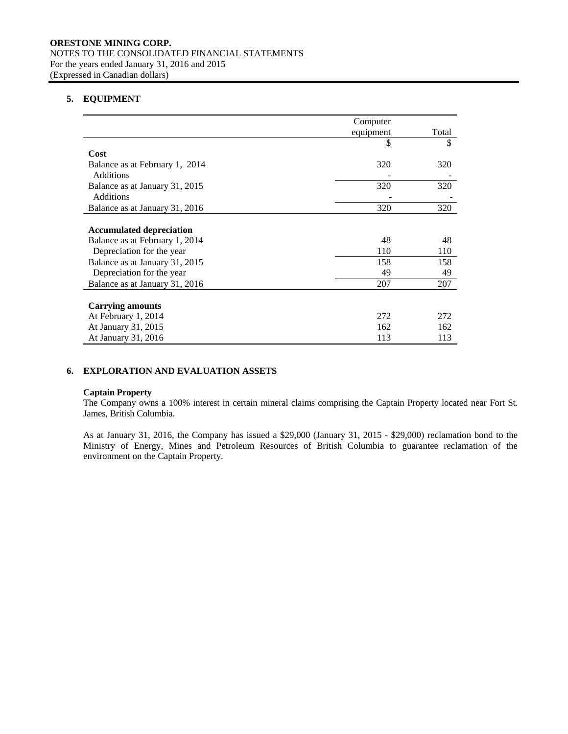# **5. EQUIPMENT**

|                                 | Computer  |       |
|---------------------------------|-----------|-------|
|                                 | equipment | Total |
|                                 | \$        | \$    |
| Cost                            |           |       |
| Balance as at February 1, 2014  | 320       | 320   |
| Additions                       |           |       |
| Balance as at January 31, 2015  | 320       | 320   |
| Additions                       |           |       |
| Balance as at January 31, 2016  | 320       | 320   |
|                                 |           |       |
| <b>Accumulated depreciation</b> |           |       |
| Balance as at February 1, 2014  | 48        | 48    |
| Depreciation for the year       | 110       | 110   |
| Balance as at January 31, 2015  | 158       | 158   |
| Depreciation for the year       | 49        | 49    |
| Balance as at January 31, 2016  | 207       | 207   |
|                                 |           |       |
| <b>Carrying amounts</b>         |           |       |
| At February 1, 2014             | 272       | 272   |
| At January 31, 2015             | 162       | 162   |
| At January 31, 2016             | 113       | 113   |

# **6. EXPLORATION AND EVALUATION ASSETS**

# **Captain Property**

The Company owns a 100% interest in certain mineral claims comprising the Captain Property located near Fort St. James, British Columbia.

As at January 31, 2016, the Company has issued a \$29,000 (January 31, 2015 - \$29,000) reclamation bond to the Ministry of Energy, Mines and Petroleum Resources of British Columbia to guarantee reclamation of the environment on the Captain Property.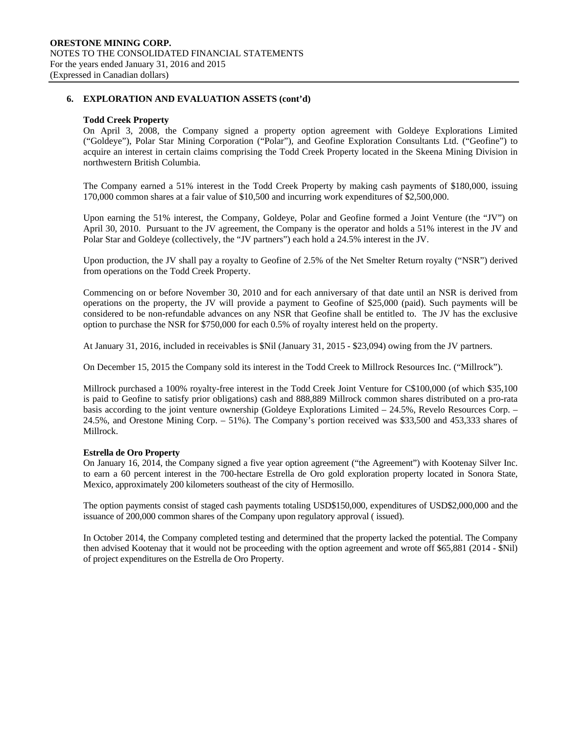# **6. EXPLORATION AND EVALUATION ASSETS (cont'd)**

# **Todd Creek Property**

 On April 3, 2008, the Company signed a property option agreement with Goldeye Explorations Limited ("Goldeye"), Polar Star Mining Corporation ("Polar"), and Geofine Exploration Consultants Ltd. ("Geofine") to acquire an interest in certain claims comprising the Todd Creek Property located in the Skeena Mining Division in northwestern British Columbia.

 The Company earned a 51% interest in the Todd Creek Property by making cash payments of \$180,000, issuing 170,000 common shares at a fair value of \$10,500 and incurring work expenditures of \$2,500,000.

 Upon earning the 51% interest, the Company, Goldeye, Polar and Geofine formed a Joint Venture (the "JV") on April 30, 2010. Pursuant to the JV agreement, the Company is the operator and holds a 51% interest in the JV and Polar Star and Goldeye (collectively, the "JV partners") each hold a 24.5% interest in the JV.

Upon production, the JV shall pay a royalty to Geofine of 2.5% of the Net Smelter Return royalty ("NSR") derived from operations on the Todd Creek Property.

Commencing on or before November 30, 2010 and for each anniversary of that date until an NSR is derived from operations on the property, the JV will provide a payment to Geofine of \$25,000 (paid). Such payments will be considered to be non-refundable advances on any NSR that Geofine shall be entitled to. The JV has the exclusive option to purchase the NSR for \$750,000 for each 0.5% of royalty interest held on the property.

At January 31, 2016, included in receivables is \$Nil (January 31, 2015 - \$23,094) owing from the JV partners.

On December 15, 2015 the Company sold its interest in the Todd Creek to Millrock Resources Inc. ("Millrock").

Millrock purchased a 100% royalty-free interest in the Todd Creek Joint Venture for C\$100,000 (of which \$35,100 is paid to Geofine to satisfy prior obligations) cash and 888,889 Millrock common shares distributed on a pro-rata basis according to the joint venture ownership (Goldeye Explorations Limited – 24.5%, Revelo Resources Corp. – 24.5%, and Orestone Mining Corp. – 51%). The Company's portion received was \$33,500 and 453,333 shares of Millrock.

# **Estrella de Oro Property**

On January 16, 2014, the Company signed a five year option agreement ("the Agreement") with Kootenay Silver Inc. to earn a 60 percent interest in the 700-hectare Estrella de Oro gold exploration property located in Sonora State, Mexico, approximately 200 kilometers southeast of the city of Hermosillo.

The option payments consist of staged cash payments totaling USD\$150,000, expenditures of USD\$2,000,000 and the issuance of 200,000 common shares of the Company upon regulatory approval ( issued).

In October 2014, the Company completed testing and determined that the property lacked the potential. The Company then advised Kootenay that it would not be proceeding with the option agreement and wrote off \$65,881 (2014 - \$Nil) of project expenditures on the Estrella de Oro Property.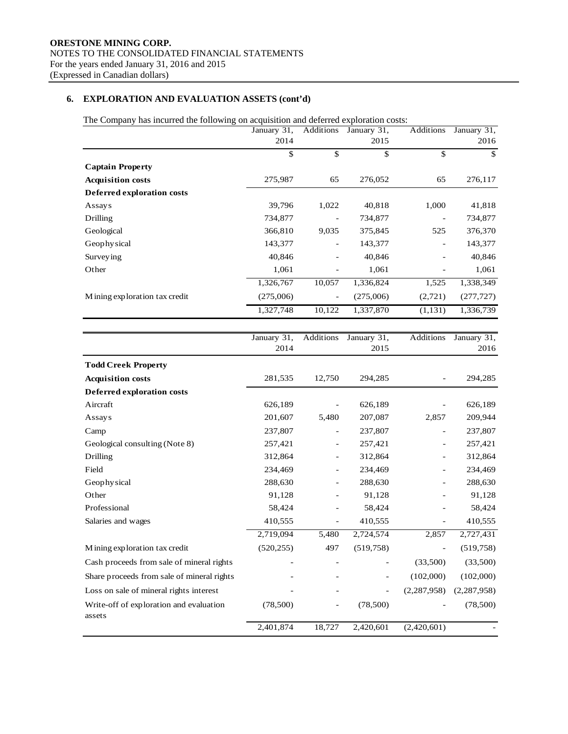# **6. EXPLORATION AND EVALUATION ASSETS (cont'd)**

# The Company has incurred the following on acquisition and deferred exploration costs:

|                                | January 31, | Additions | January 31, | Additions | January 31, |
|--------------------------------|-------------|-----------|-------------|-----------|-------------|
|                                | 2014        |           | 2015        |           | 2016        |
|                                | \$          | \$        | \$          | \$        | \$          |
| <b>Captain Property</b>        |             |           |             |           |             |
| <b>Acquisition costs</b>       | 275,987     | 65        | 276,052     | 65        | 276,117     |
| Deferred exploration costs     |             |           |             |           |             |
| Assays                         | 39,796      | 1,022     | 40,818      | 1,000     | 41,818      |
| Drilling                       | 734,877     |           | 734,877     |           | 734,877     |
| Geological                     | 366,810     | 9,035     | 375,845     | 525       | 376,370     |
| <b>Geophysical</b>             | 143,377     |           | 143,377     |           | 143,377     |
| Survey ing                     | 40,846      |           | 40,846      |           | 40,846      |
| Other                          | 1,061       |           | 1,061       |           | 1,061       |
|                                | 1,326,767   | 10,057    | 1,336,824   | 1,525     | 1,338,349   |
| M ining exploration tax credit | (275,006)   |           | (275,006)   | (2,721)   | (277, 727)  |
|                                | 1,327,748   | 10,122    | 1,337,870   | (1, 131)  | 1,336,739   |

|                                                   | January 31, | <b>Additions</b> | January 31, | <b>Additions</b> | January 31, |
|---------------------------------------------------|-------------|------------------|-------------|------------------|-------------|
|                                                   | 2014        |                  | 2015        |                  | 2016        |
| <b>Todd Creek Property</b>                        |             |                  |             |                  |             |
| <b>Acquisition costs</b>                          | 281,535     | 12,750           | 294,285     |                  | 294,285     |
| <b>Deferred exploration costs</b>                 |             |                  |             |                  |             |
| Aircraft                                          | 626,189     |                  | 626,189     |                  | 626,189     |
| Assays                                            | 201,607     | 5,480            | 207,087     | 2,857            | 209,944     |
| Camp                                              | 237,807     |                  | 237,807     |                  | 237,807     |
| Geological consulting (Note 8)                    | 257,421     |                  | 257,421     |                  | 257,421     |
| Drilling                                          | 312,864     |                  | 312,864     |                  | 312,864     |
| Field                                             | 234,469     |                  | 234,469     |                  | 234,469     |
| <b>Geophy</b> sical                               | 288,630     |                  | 288,630     |                  | 288,630     |
| Other                                             | 91,128      |                  | 91,128      |                  | 91,128      |
| Professional                                      | 58,424      |                  | 58,424      |                  | 58,424      |
| Salaries and wages                                | 410,555     |                  | 410,555     |                  | 410,555     |
|                                                   | 2,719,094   | 5,480            | 2,724,574   | 2,857            | 2,727,431   |
| Mining exploration tax credit                     | (520, 255)  | 497              | (519, 758)  |                  | (519, 758)  |
| Cash proceeds from sale of mineral rights         |             |                  |             | (33,500)         | (33,500)    |
| Share proceeds from sale of mineral rights        |             |                  |             | (102,000)        | (102,000)   |
| Loss on sale of mineral rights interest           |             |                  |             | (2, 287, 958)    | (2,287,958) |
| Write-off of exploration and evaluation<br>assets | (78,500)    |                  | (78, 500)   |                  | (78,500)    |
|                                                   | 2,401,874   | 18,727           | 2,420,601   | (2,420,601)      |             |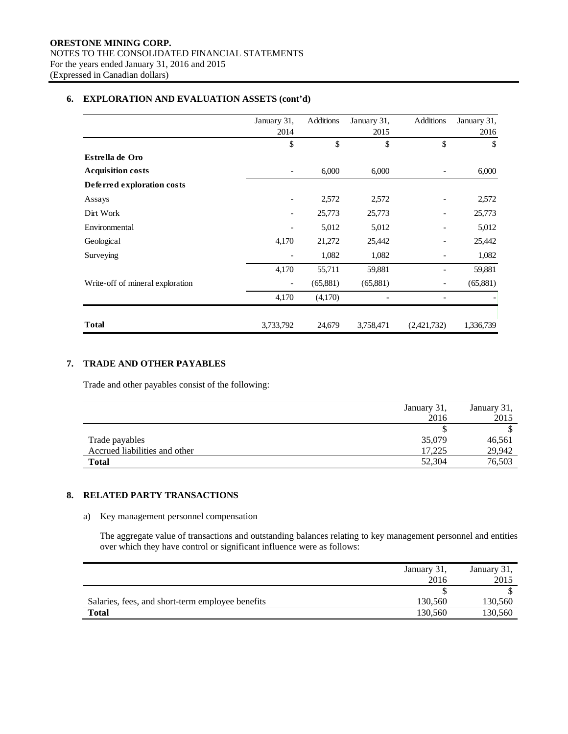# **6. EXPLORATION AND EVALUATION ASSETS (cont'd)**

|                                  | January 31,              | <b>Additions</b> | January 31, | <b>Additions</b> | January 31, |
|----------------------------------|--------------------------|------------------|-------------|------------------|-------------|
|                                  | 2014                     |                  | 2015        |                  | 2016        |
|                                  | \$                       | \$               | \$          | \$               | \$          |
| Estrella de Oro                  |                          |                  |             |                  |             |
| <b>Acquisition costs</b>         |                          | 6,000            | 6,000       |                  | 6,000       |
| Deferred exploration costs       |                          |                  |             |                  |             |
| Assays                           |                          | 2,572            | 2,572       |                  | 2,572       |
| Dirt Work                        | $\qquad \qquad -$        | 25,773           | 25,773      |                  | 25,773      |
| Environmental                    |                          | 5,012            | 5,012       |                  | 5,012       |
| Geological                       | 4,170                    | 21,272           | 25,442      |                  | 25,442      |
| Surveying                        |                          | 1,082            | 1,082       |                  | 1,082       |
|                                  | 4,170                    | 55,711           | 59,881      |                  | 59,881      |
| Write-off of mineral exploration | $\overline{\phantom{a}}$ | (65,881)         | (65,881)    |                  | (65,881)    |
|                                  | 4,170                    | (4,170)          |             |                  |             |
|                                  |                          |                  |             |                  |             |
| <b>Total</b>                     | 3,733,792                | 24,679           | 3,758,471   | (2,421,732)      | 1,336,739   |

# **7. TRADE AND OTHER PAYABLES**

Trade and other payables consist of the following:

|                               | January 31,<br>2016 | January 31,<br>2015 |
|-------------------------------|---------------------|---------------------|
|                               |                     |                     |
| Trade payables                | 35,079              | 46,561              |
| Accrued liabilities and other | 17.225              | 29,942              |
| <b>Total</b>                  | 52,304              | 76,503              |

# **8. RELATED PARTY TRANSACTIONS**

## a) Key management personnel compensation

The aggregate value of transactions and outstanding balances relating to key management personnel and entities over which they have control or significant influence were as follows:

|                                                  | January 31, | January 31, |
|--------------------------------------------------|-------------|-------------|
|                                                  | 2016        | 2015        |
|                                                  |             |             |
| Salaries, fees, and short-term employee benefits | 130,560     | 130,560     |
| Total                                            | 130,560     | 130,560     |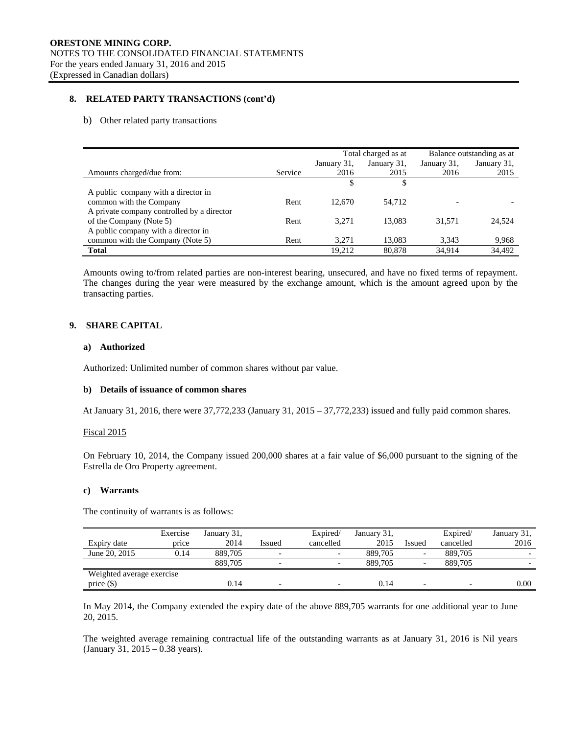# **8. RELATED PARTY TRANSACTIONS (cont'd)**

## b) Other related party transactions

|                                            |                | Total charged as at |             | Balance outstanding as at |             |  |
|--------------------------------------------|----------------|---------------------|-------------|---------------------------|-------------|--|
|                                            |                | January 31,         | January 31, | January 31,               | January 31, |  |
| Amounts charged/due from:                  | <b>Service</b> | 2016                | 2015        | 2016                      | 2015        |  |
|                                            |                |                     |             |                           |             |  |
| A public company with a director in        |                |                     |             |                           |             |  |
| common with the Company                    | Rent           | 12.670              | 54.712      |                           |             |  |
| A private company controlled by a director |                |                     |             |                           |             |  |
| of the Company (Note 5)                    | Rent           | 3.271               | 13,083      | 31.571                    | 24,524      |  |
| A public company with a director in        |                |                     |             |                           |             |  |
| common with the Company (Note 5)           | Rent           | 3.271               | 13.083      | 3.343                     | 9,968       |  |
| <b>Total</b>                               |                | 19,212              | 80.878      | 34,914                    | 34,492      |  |

 Amounts owing to/from related parties are non-interest bearing, unsecured, and have no fixed terms of repayment. The changes during the year were measured by the exchange amount, which is the amount agreed upon by the transacting parties.

# **9. SHARE CAPITAL**

### **a) Authorized**

Authorized: Unlimited number of common shares without par value.

# **b) Details of issuance of common shares**

At January 31, 2016, there were 37,772,233 (January 31, 2015 – 37,772,233) issued and fully paid common shares.

#### Fiscal 2015

On February 10, 2014, the Company issued 200,000 shares at a fair value of \$6,000 pursuant to the signing of the Estrella de Oro Property agreement.

#### **c) Warrants**

The continuity of warrants is as follows:

|                           | Exercise | January 31, |                          | Expired/                 | January 31, |                          | Expired/  | January 31, |
|---------------------------|----------|-------------|--------------------------|--------------------------|-------------|--------------------------|-----------|-------------|
| Expiry date               | price    | 2014        | Issued                   | cancelled                | 2015        | <b>Issued</b>            | cancelled | 2016        |
| June 20, 2015             | 0.14     | 889,705     | $\overline{\phantom{0}}$ | $\overline{\phantom{0}}$ | 889,705     | $\overline{\phantom{0}}$ | 889,705   |             |
|                           |          | 889,705     |                          |                          | 889,705     |                          | 889,705   |             |
| Weighted average exercise |          |             |                          |                          |             |                          |           |             |
| price $(\$)$              |          | 0.14        | $\overline{\phantom{0}}$ | $\overline{\phantom{0}}$ | 0.14        | $\overline{\phantom{0}}$ |           | 0.00        |

In May 2014, the Company extended the expiry date of the above 889,705 warrants for one additional year to June 20, 2015.

The weighted average remaining contractual life of the outstanding warrants as at January 31, 2016 is Nil years (January 31, 2015 – 0.38 years).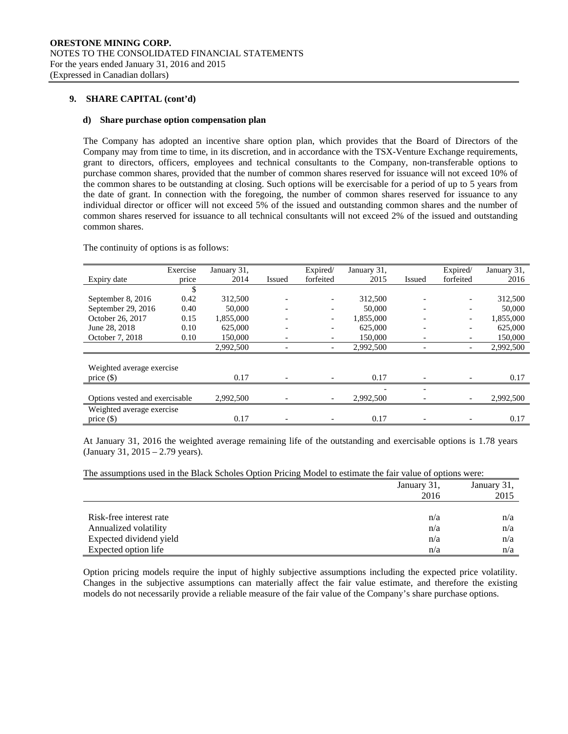# **9. SHARE CAPITAL (cont'd)**

## **d) Share purchase option compensation plan**

The Company has adopted an incentive share option plan, which provides that the Board of Directors of the Company may from time to time, in its discretion, and in accordance with the TSX-Venture Exchange requirements, grant to directors, officers, employees and technical consultants to the Company, non-transferable options to purchase common shares, provided that the number of common shares reserved for issuance will not exceed 10% of the common shares to be outstanding at closing. Such options will be exercisable for a period of up to 5 years from the date of grant. In connection with the foregoing, the number of common shares reserved for issuance to any individual director or officer will not exceed 5% of the issued and outstanding common shares and the number of common shares reserved for issuance to all technical consultants will not exceed 2% of the issued and outstanding common shares.

The continuity of options is as follows:

|                                | Exercise | January 31, |               | Expired/  | January 31, |                          | Expired/  | January 31, |
|--------------------------------|----------|-------------|---------------|-----------|-------------|--------------------------|-----------|-------------|
| Expiry date                    | price    | 2014        | <b>Issued</b> | forfeited | 2015        | Issued                   | forfeited | 2016        |
|                                | \$       |             |               |           |             |                          |           |             |
| September 8, 2016              | 0.42     | 312,500     |               |           | 312,500     |                          |           | 312,500     |
| September 29, 2016             | 0.40     | 50,000      |               |           | 50,000      |                          |           | 50,000      |
| October 26, 2017               | 0.15     | 1,855,000   |               |           | 1,855,000   |                          |           | 1,855,000   |
| June 28, 2018                  | 0.10     | 625,000     |               |           | 625,000     |                          |           | 625,000     |
| October 7, 2018                | 0.10     | 150,000     |               |           | 150,000     | $\overline{\phantom{0}}$ |           | 150,000     |
|                                |          | 2,992,500   |               |           | 2,992,500   |                          |           | 2,992,500   |
|                                |          |             |               |           |             |                          |           |             |
| Weighted average exercise      |          |             |               |           |             |                          |           |             |
| price $(\$)$                   |          | 0.17        |               |           | 0.17        |                          |           | 0.17        |
|                                |          |             |               |           |             | $\overline{\phantom{0}}$ |           |             |
| Options vested and exercisable |          | 2,992,500   |               |           | 2,992,500   |                          |           | 2,992,500   |
| Weighted average exercise      |          |             |               |           |             |                          |           |             |
| price $(\$)$                   |          | 0.17        |               |           | 0.17        |                          |           | 0.17        |

At January 31, 2016 the weighted average remaining life of the outstanding and exercisable options is 1.78 years (January 31, 2015 – 2.79 years).

|  |  | The assumptions used in the Black Scholes Option Pricing Model to estimate the fair value of options were: |
|--|--|------------------------------------------------------------------------------------------------------------|
|  |  |                                                                                                            |

|                         | January 31, | January 31, |
|-------------------------|-------------|-------------|
|                         | 2016        | 2015        |
|                         |             |             |
| Risk-free interest rate | n/a         | n/a         |
| Annualized volatility   | n/a         | n/a         |
| Expected dividend yield | n/a         | n/a         |
| Expected option life    | n/a         | n/a         |

 Option pricing models require the input of highly subjective assumptions including the expected price volatility. Changes in the subjective assumptions can materially affect the fair value estimate, and therefore the existing models do not necessarily provide a reliable measure of the fair value of the Company's share purchase options.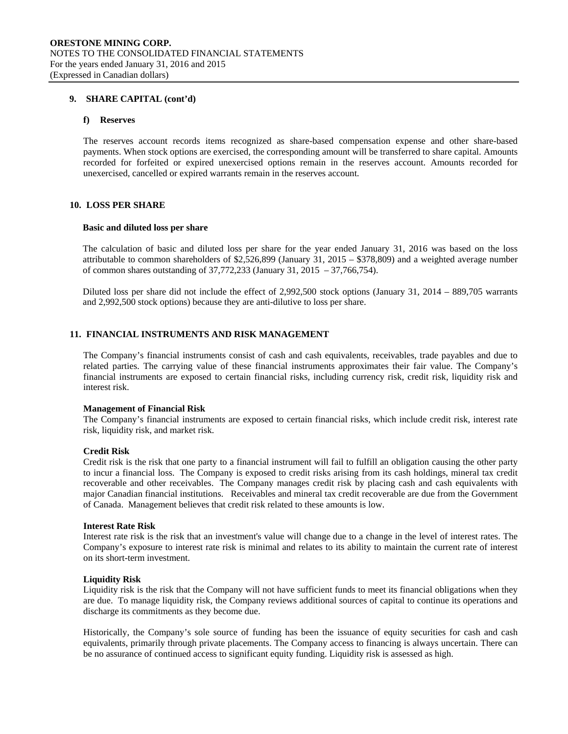# **9. SHARE CAPITAL (cont'd)**

### **f) Reserves**

The reserves account records items recognized as share-based compensation expense and other share-based payments. When stock options are exercised, the corresponding amount will be transferred to share capital. Amounts recorded for forfeited or expired unexercised options remain in the reserves account. Amounts recorded for unexercised, cancelled or expired warrants remain in the reserves account.

# **10. LOSS PER SHARE**

### **Basic and diluted loss per share**

The calculation of basic and diluted loss per share for the year ended January 31, 2016 was based on the loss attributable to common shareholders of \$2,526,899 (January 31, 2015 – \$378,809) and a weighted average number of common shares outstanding of 37,772,233 (January 31, 2015 – 37,766,754).

Diluted loss per share did not include the effect of 2,992,500 stock options (January 31, 2014 – 889,705 warrants and 2,992,500 stock options) because they are anti-dilutive to loss per share.

# **11. FINANCIAL INSTRUMENTS AND RISK MANAGEMENT**

The Company's financial instruments consist of cash and cash equivalents, receivables, trade payables and due to related parties. The carrying value of these financial instruments approximates their fair value. The Company's financial instruments are exposed to certain financial risks, including currency risk, credit risk, liquidity risk and interest risk.

# **Management of Financial Risk**

The Company's financial instruments are exposed to certain financial risks, which include credit risk, interest rate risk, liquidity risk, and market risk.

# **Credit Risk**

Credit risk is the risk that one party to a financial instrument will fail to fulfill an obligation causing the other party to incur a financial loss. The Company is exposed to credit risks arising from its cash holdings, mineral tax credit recoverable and other receivables. The Company manages credit risk by placing cash and cash equivalents with major Canadian financial institutions. Receivables and mineral tax credit recoverable are due from the Government of Canada. Management believes that credit risk related to these amounts is low.

#### **Interest Rate Risk**

Interest rate risk is the risk that an investment's value will change due to a change in the level of interest rates. The Company's exposure to interest rate risk is minimal and relates to its ability to maintain the current rate of interest on its short-term investment.

# **Liquidity Risk**

Liquidity risk is the risk that the Company will not have sufficient funds to meet its financial obligations when they are due. To manage liquidity risk, the Company reviews additional sources of capital to continue its operations and discharge its commitments as they become due.

Historically, the Company's sole source of funding has been the issuance of equity securities for cash and cash equivalents, primarily through private placements. The Company access to financing is always uncertain. There can be no assurance of continued access to significant equity funding. Liquidity risk is assessed as high.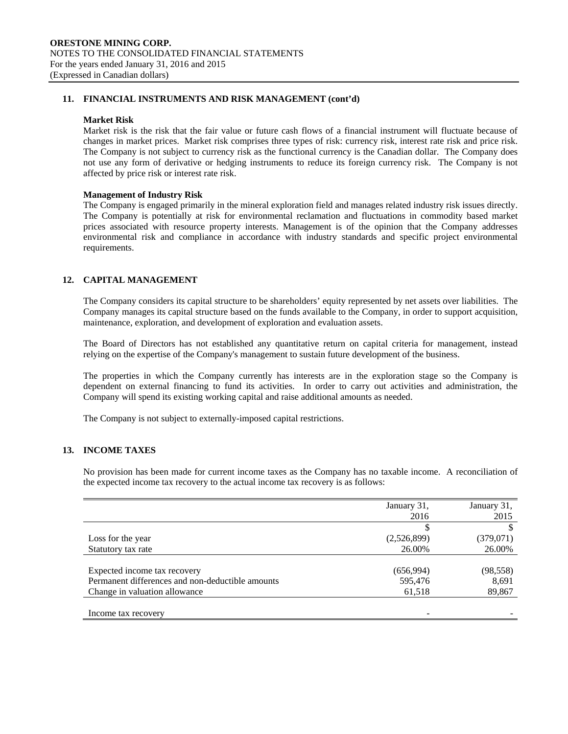# **11. FINANCIAL INSTRUMENTS AND RISK MANAGEMENT (cont'd)**

## **Market Risk**

Market risk is the risk that the fair value or future cash flows of a financial instrument will fluctuate because of changes in market prices. Market risk comprises three types of risk: currency risk, interest rate risk and price risk. The Company is not subject to currency risk as the functional currency is the Canadian dollar. The Company does not use any form of derivative or hedging instruments to reduce its foreign currency risk. The Company is not affected by price risk or interest rate risk.

# **Management of Industry Risk**

The Company is engaged primarily in the mineral exploration field and manages related industry risk issues directly. The Company is potentially at risk for environmental reclamation and fluctuations in commodity based market prices associated with resource property interests. Management is of the opinion that the Company addresses environmental risk and compliance in accordance with industry standards and specific project environmental requirements.

# **12. CAPITAL MANAGEMENT**

The Company considers its capital structure to be shareholders' equity represented by net assets over liabilities. The Company manages its capital structure based on the funds available to the Company, in order to support acquisition, maintenance, exploration, and development of exploration and evaluation assets.

The Board of Directors has not established any quantitative return on capital criteria for management, instead relying on the expertise of the Company's management to sustain future development of the business.

The properties in which the Company currently has interests are in the exploration stage so the Company is dependent on external financing to fund its activities. In order to carry out activities and administration, the Company will spend its existing working capital and raise additional amounts as needed.

The Company is not subject to externally-imposed capital restrictions.

# **13. INCOME TAXES**

No provision has been made for current income taxes as the Company has no taxable income. A reconciliation of the expected income tax recovery to the actual income tax recovery is as follows:

|                                                  | January 31,              | January 31, |
|--------------------------------------------------|--------------------------|-------------|
|                                                  | 2016                     | 2015        |
|                                                  |                          |             |
| Loss for the year                                | (2,526,899)              | (379,071)   |
| Statutory tax rate                               | 26.00%                   | 26.00%      |
|                                                  |                          |             |
| Expected income tax recovery                     | (656,994)                | (98, 558)   |
| Permanent differences and non-deductible amounts | 595,476                  | 8,691       |
| Change in valuation allowance                    | 61,518                   | 89,867      |
|                                                  |                          |             |
| Income tax recovery                              | $\overline{\phantom{0}}$ |             |